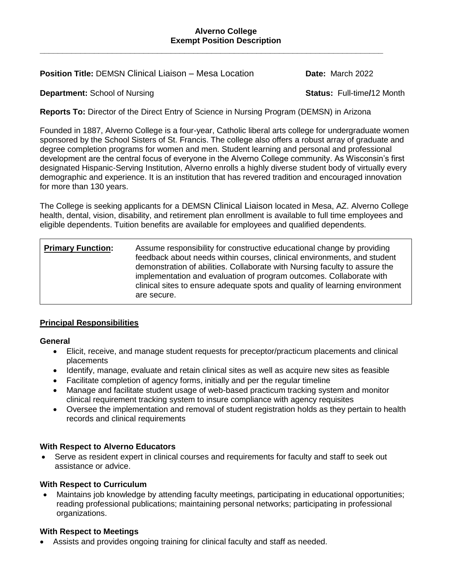#### **Alverno College Exempt Position Description**

**Position Title:** DEMSN Clinical Liaison – Mesa Location **Date:** March 2022

## **Department:** School of Nursing **Status: Full-time/12 Month**

**Reports To:** Director of the Direct Entry of Science in Nursing Program (DEMSN) in Arizona

**\_\_\_\_\_\_\_\_\_\_\_\_\_\_\_\_\_\_\_\_\_\_\_\_\_\_\_\_\_\_\_\_\_\_\_\_\_\_\_\_\_\_\_\_\_\_\_\_\_\_\_\_\_\_\_\_\_\_\_\_\_\_\_\_\_\_\_\_\_\_\_\_\_\_\_\_**

Founded in 1887, Alverno College is a four-year, Catholic liberal arts college for undergraduate women sponsored by the School Sisters of St. Francis. The college also offers a robust array of graduate and degree completion programs for women and men. Student learning and personal and professional development are the central focus of everyone in the Alverno College community. As Wisconsin's first designated Hispanic-Serving Institution, Alverno enrolls a highly diverse student body of virtually every demographic and experience. It is an institution that has revered tradition and encouraged innovation for more than 130 years.

The College is seeking applicants for a DEMSN Clinical Liaison located in Mesa, AZ. Alverno College health, dental, vision, disability, and retirement plan enrollment is available to full time employees and eligible dependents. Tuition benefits are available for employees and qualified dependents.

## **Primary Function:** Assume responsibility for constructive educational change by providing feedback about needs within courses, clinical environments, and student demonstration of abilities. Collaborate with Nursing faculty to assure the implementation and evaluation of program outcomes. Collaborate with clinical sites to ensure adequate spots and quality of learning environment are secure.

# **Principal Responsibilities**

### **General**

- Elicit, receive, and manage student requests for preceptor/practicum placements and clinical placements
- Identify, manage, evaluate and retain clinical sites as well as acquire new sites as feasible
- Facilitate completion of agency forms, initially and per the regular timeline
- Manage and facilitate student usage of web-based practicum tracking system and monitor clinical requirement tracking system to insure compliance with agency requisites
- Oversee the implementation and removal of student registration holds as they pertain to health records and clinical requirements

## **With Respect to Alverno Educators**

 Serve as resident expert in clinical courses and requirements for faculty and staff to seek out assistance or advice.

### **With Respect to Curriculum**

 Maintains job knowledge by attending faculty meetings, participating in educational opportunities; reading professional publications; maintaining personal networks; participating in professional organizations.

### **With Respect to Meetings**

Assists and provides ongoing training for clinical faculty and staff as needed.